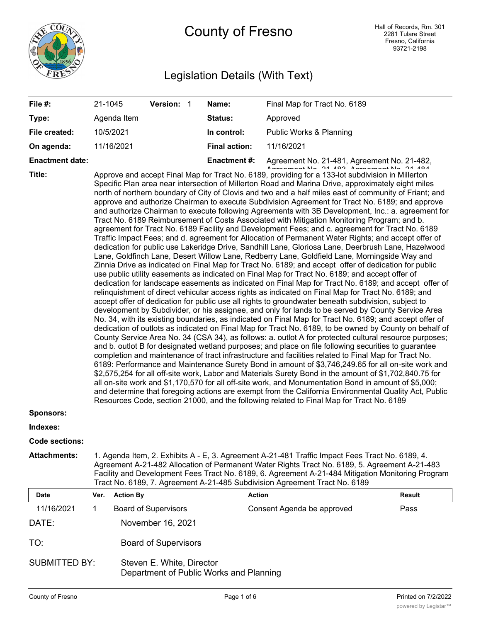

# County of Fresno

# Legislation Details (With Text)

| File #:                                                                                      | 21-1045                                                                                                                                                                                                                                                                                                                                                                                                                                                                                                                                                                                                                                                                                                                                                                                                                                                                                                                                                                                                                                                                                                                                                                                                                                                                                                                                                                                                                                                                                                                                                                                                                                                                                                                                                                                                                                                                                                                                                                                                                                                                                                                                                                                                                                                                                                                                                                                                                                                                                                                                                                                                                                                                                                                                                    |                  | Version: 1                  |  | Name:                | Final Map for Tract No. 6189                                                             |        |
|----------------------------------------------------------------------------------------------|------------------------------------------------------------------------------------------------------------------------------------------------------------------------------------------------------------------------------------------------------------------------------------------------------------------------------------------------------------------------------------------------------------------------------------------------------------------------------------------------------------------------------------------------------------------------------------------------------------------------------------------------------------------------------------------------------------------------------------------------------------------------------------------------------------------------------------------------------------------------------------------------------------------------------------------------------------------------------------------------------------------------------------------------------------------------------------------------------------------------------------------------------------------------------------------------------------------------------------------------------------------------------------------------------------------------------------------------------------------------------------------------------------------------------------------------------------------------------------------------------------------------------------------------------------------------------------------------------------------------------------------------------------------------------------------------------------------------------------------------------------------------------------------------------------------------------------------------------------------------------------------------------------------------------------------------------------------------------------------------------------------------------------------------------------------------------------------------------------------------------------------------------------------------------------------------------------------------------------------------------------------------------------------------------------------------------------------------------------------------------------------------------------------------------------------------------------------------------------------------------------------------------------------------------------------------------------------------------------------------------------------------------------------------------------------------------------------------------------------------------------|------------------|-----------------------------|--|----------------------|------------------------------------------------------------------------------------------|--------|
| Type:                                                                                        |                                                                                                                                                                                                                                                                                                                                                                                                                                                                                                                                                                                                                                                                                                                                                                                                                                                                                                                                                                                                                                                                                                                                                                                                                                                                                                                                                                                                                                                                                                                                                                                                                                                                                                                                                                                                                                                                                                                                                                                                                                                                                                                                                                                                                                                                                                                                                                                                                                                                                                                                                                                                                                                                                                                                                            | Agenda Item      |                             |  | Status:              | Approved                                                                                 |        |
| File created:                                                                                |                                                                                                                                                                                                                                                                                                                                                                                                                                                                                                                                                                                                                                                                                                                                                                                                                                                                                                                                                                                                                                                                                                                                                                                                                                                                                                                                                                                                                                                                                                                                                                                                                                                                                                                                                                                                                                                                                                                                                                                                                                                                                                                                                                                                                                                                                                                                                                                                                                                                                                                                                                                                                                                                                                                                                            | 10/5/2021        |                             |  | In control:          | Public Works & Planning                                                                  |        |
| On agenda:                                                                                   |                                                                                                                                                                                                                                                                                                                                                                                                                                                                                                                                                                                                                                                                                                                                                                                                                                                                                                                                                                                                                                                                                                                                                                                                                                                                                                                                                                                                                                                                                                                                                                                                                                                                                                                                                                                                                                                                                                                                                                                                                                                                                                                                                                                                                                                                                                                                                                                                                                                                                                                                                                                                                                                                                                                                                            | 11/16/2021       |                             |  | <b>Final action:</b> | 11/16/2021                                                                               |        |
| <b>Enactment date:</b>                                                                       |                                                                                                                                                                                                                                                                                                                                                                                                                                                                                                                                                                                                                                                                                                                                                                                                                                                                                                                                                                                                                                                                                                                                                                                                                                                                                                                                                                                                                                                                                                                                                                                                                                                                                                                                                                                                                                                                                                                                                                                                                                                                                                                                                                                                                                                                                                                                                                                                                                                                                                                                                                                                                                                                                                                                                            |                  |                             |  | <b>Enactment#:</b>   | Agreement No. 21-481, Agreement No. 21-482,<br>Agreement No. 04 400 Agreement No. 04 404 |        |
| Title:<br><b>Sponsors:</b>                                                                   | Approve and accept Final Map for Tract No. 6189, providing for a 133-lot subdivision in Millerton<br>Specific Plan area near intersection of Millerton Road and Marina Drive, approximately eight miles<br>north of northern boundary of City of Clovis and two and a half miles east of community of Friant; and<br>approve and authorize Chairman to execute Subdivision Agreement for Tract No. 6189; and approve<br>and authorize Chairman to execute following Agreements with 3B Development, Inc.: a. agreement for<br>Tract No. 6189 Reimbursement of Costs Associated with Mitigation Monitoring Program; and b.<br>agreement for Tract No. 6189 Facility and Development Fees; and c. agreement for Tract No. 6189<br>Traffic Impact Fees; and d. agreement for Allocation of Permanent Water Rights; and accept offer of<br>dedication for public use Lakeridge Drive, Sandhill Lane, Gloriosa Lane, Deerbrush Lane, Hazelwood<br>Lane, Goldfinch Lane, Desert Willow Lane, Redberry Lane, Goldfield Lane, Morningside Way and<br>Zinnia Drive as indicated on Final Map for Tract No. 6189; and accept offer of dedication for public<br>use public utility easements as indicated on Final Map for Tract No. 6189; and accept offer of<br>dedication for landscape easements as indicated on Final Map for Tract No. 6189; and accept offer of<br>relinquishment of direct vehicular access rights as indicated on Final Map for Tract No. 6189; and<br>accept offer of dedication for public use all rights to groundwater beneath subdivision, subject to<br>development by Subdivider, or his assignee, and only for lands to be served by County Service Area<br>No. 34, with its existing boundaries, as indicated on Final Map for Tract No. 6189; and accept offer of<br>dedication of outlots as indicated on Final Map for Tract No. 6189, to be owned by County on behalf of<br>County Service Area No. 34 (CSA 34), as follows: a. outlot A for protected cultural resource purposes;<br>and b. outlot B for designated wetland purposes; and place on file following securities to guarantee<br>completion and maintenance of tract infrastructure and facilities related to Final Map for Tract No.<br>6189: Performance and Maintenance Surety Bond in amount of \$3,746,249.65 for all on-site work and<br>\$2,575,254 for all off-site work, Labor and Materials Surety Bond in the amount of \$1,702,840.75 for<br>all on-site work and \$1,170,570 for all off-site work, and Monumentation Bond in amount of \$5,000;<br>and determine that foregoing actions are exempt from the California Environmental Quality Act, Public<br>Resources Code, section 21000, and the following related to Final Map for Tract No. 6189 |                  |                             |  |                      |                                                                                          |        |
| Indexes:                                                                                     |                                                                                                                                                                                                                                                                                                                                                                                                                                                                                                                                                                                                                                                                                                                                                                                                                                                                                                                                                                                                                                                                                                                                                                                                                                                                                                                                                                                                                                                                                                                                                                                                                                                                                                                                                                                                                                                                                                                                                                                                                                                                                                                                                                                                                                                                                                                                                                                                                                                                                                                                                                                                                                                                                                                                                            |                  |                             |  |                      |                                                                                          |        |
| <b>Code sections:</b>                                                                        |                                                                                                                                                                                                                                                                                                                                                                                                                                                                                                                                                                                                                                                                                                                                                                                                                                                                                                                                                                                                                                                                                                                                                                                                                                                                                                                                                                                                                                                                                                                                                                                                                                                                                                                                                                                                                                                                                                                                                                                                                                                                                                                                                                                                                                                                                                                                                                                                                                                                                                                                                                                                                                                                                                                                                            |                  |                             |  |                      |                                                                                          |        |
| <b>Attachments:</b>                                                                          | 1. Agenda Item, 2. Exhibits A - E, 3. Agreement A-21-481 Traffic Impact Fees Tract No. 6189, 4.<br>Agreement A-21-482 Allocation of Permanent Water Rights Tract No. 6189, 5. Agreement A-21-483<br>Facility and Development Fees Tract No. 6189, 6. Agreement A-21-484 Mitigation Monitoring Program<br>Tract No. 6189, 7. Agreement A-21-485 Subdivision Agreement Tract No. 6189                                                                                                                                                                                                                                                                                                                                                                                                                                                                                                                                                                                                                                                                                                                                                                                                                                                                                                                                                                                                                                                                                                                                                                                                                                                                                                                                                                                                                                                                                                                                                                                                                                                                                                                                                                                                                                                                                                                                                                                                                                                                                                                                                                                                                                                                                                                                                                        |                  |                             |  |                      |                                                                                          |        |
| Date                                                                                         | Ver.                                                                                                                                                                                                                                                                                                                                                                                                                                                                                                                                                                                                                                                                                                                                                                                                                                                                                                                                                                                                                                                                                                                                                                                                                                                                                                                                                                                                                                                                                                                                                                                                                                                                                                                                                                                                                                                                                                                                                                                                                                                                                                                                                                                                                                                                                                                                                                                                                                                                                                                                                                                                                                                                                                                                                       | <b>Action By</b> |                             |  |                      | <b>Action</b>                                                                            | Result |
| 11/16/2021                                                                                   | 1                                                                                                                                                                                                                                                                                                                                                                                                                                                                                                                                                                                                                                                                                                                                                                                                                                                                                                                                                                                                                                                                                                                                                                                                                                                                                                                                                                                                                                                                                                                                                                                                                                                                                                                                                                                                                                                                                                                                                                                                                                                                                                                                                                                                                                                                                                                                                                                                                                                                                                                                                                                                                                                                                                                                                          |                  | <b>Board of Supervisors</b> |  |                      | Consent Agenda be approved                                                               | Pass   |
| DATE:                                                                                        |                                                                                                                                                                                                                                                                                                                                                                                                                                                                                                                                                                                                                                                                                                                                                                                                                                                                                                                                                                                                                                                                                                                                                                                                                                                                                                                                                                                                                                                                                                                                                                                                                                                                                                                                                                                                                                                                                                                                                                                                                                                                                                                                                                                                                                                                                                                                                                                                                                                                                                                                                                                                                                                                                                                                                            |                  | November 16, 2021           |  |                      |                                                                                          |        |
| TO:                                                                                          |                                                                                                                                                                                                                                                                                                                                                                                                                                                                                                                                                                                                                                                                                                                                                                                                                                                                                                                                                                                                                                                                                                                                                                                                                                                                                                                                                                                                                                                                                                                                                                                                                                                                                                                                                                                                                                                                                                                                                                                                                                                                                                                                                                                                                                                                                                                                                                                                                                                                                                                                                                                                                                                                                                                                                            |                  | <b>Board of Supervisors</b> |  |                      |                                                                                          |        |
| <b>SUBMITTED BY:</b><br>Steven E. White, Director<br>Department of Public Works and Planning |                                                                                                                                                                                                                                                                                                                                                                                                                                                                                                                                                                                                                                                                                                                                                                                                                                                                                                                                                                                                                                                                                                                                                                                                                                                                                                                                                                                                                                                                                                                                                                                                                                                                                                                                                                                                                                                                                                                                                                                                                                                                                                                                                                                                                                                                                                                                                                                                                                                                                                                                                                                                                                                                                                                                                            |                  |                             |  |                      |                                                                                          |        |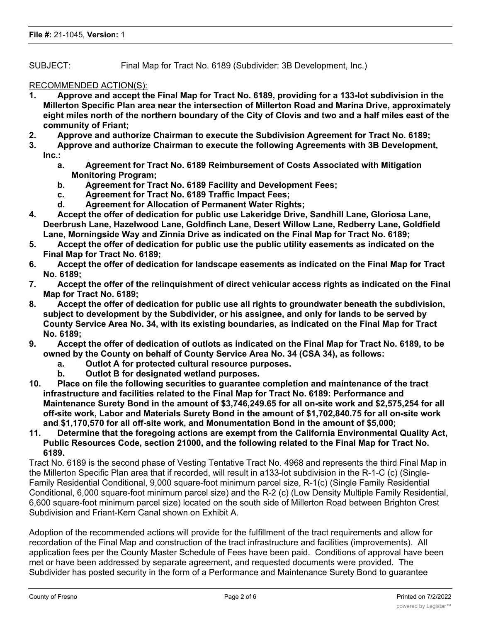SUBJECT: Final Map for Tract No. 6189 (Subdivider: 3B Development, Inc.)

# RECOMMENDED ACTION(S):

- **1. Approve and accept the Final Map for Tract No. 6189, providing for a 133-lot subdivision in the Millerton Specific Plan area near the intersection of Millerton Road and Marina Drive, approximately eight miles north of the northern boundary of the City of Clovis and two and a half miles east of the community of Friant;**
- **2. Approve and authorize Chairman to execute the Subdivision Agreement for Tract No. 6189;**
- **3. Approve and authorize Chairman to execute the following Agreements with 3B Development, Inc.:**
	- **a. Agreement for Tract No. 6189 Reimbursement of Costs Associated with Mitigation Monitoring Program;**
	- **b. Agreement for Tract No. 6189 Facility and Development Fees;**
	- **c. Agreement for Tract No. 6189 Traffic Impact Fees;**
	- **d. Agreement for Allocation of Permanent Water Rights;**
- **4. Accept the offer of dedication for public use Lakeridge Drive, Sandhill Lane, Gloriosa Lane, Deerbrush Lane, Hazelwood Lane, Goldfinch Lane, Desert Willow Lane, Redberry Lane, Goldfield Lane, Morningside Way and Zinnia Drive as indicated on the Final Map for Tract No. 6189;**
- **5. Accept the offer of dedication for public use the public utility easements as indicated on the Final Map for Tract No. 6189;**
- **6. Accept the offer of dedication for landscape easements as indicated on the Final Map for Tract No. 6189;**
- **7. Accept the offer of the relinquishment of direct vehicular access rights as indicated on the Final Map for Tract No. 6189;**
- **8. Accept the offer of dedication for public use all rights to groundwater beneath the subdivision, subject to development by the Subdivider, or his assignee, and only for lands to be served by County Service Area No. 34, with its existing boundaries, as indicated on the Final Map for Tract No. 6189;**
- **9. Accept the offer of dedication of outlots as indicated on the Final Map for Tract No. 6189, to be owned by the County on behalf of County Service Area No. 34 (CSA 34), as follows:**
	- **a. Outlot A for protected cultural resource purposes.**
	- **b. Outlot B for designated wetland purposes.**
- **10. Place on file the following securities to guarantee completion and maintenance of the tract infrastructure and facilities related to the Final Map for Tract No. 6189: Performance and Maintenance Surety Bond in the amount of \$3,746,249.65 for all on-site work and \$2,575,254 for all off-site work, Labor and Materials Surety Bond in the amount of \$1,702,840.75 for all on-site work and \$1,170,570 for all off-site work, and Monumentation Bond in the amount of \$5,000;**
- **11. Determine that the foregoing actions are exempt from the California Environmental Quality Act, Public Resources Code, section 21000, and the following related to the Final Map for Tract No. 6189.**

Tract No. 6189 is the second phase of Vesting Tentative Tract No. 4968 and represents the third Final Map in the Millerton Specific Plan area that if recorded, will result in a133-lot subdivision in the R-1-C (c) (Single-Family Residential Conditional, 9,000 square-foot minimum parcel size, R-1(c) (Single Family Residential Conditional, 6,000 square-foot minimum parcel size) and the R-2 (c) (Low Density Multiple Family Residential, 6,600 square-foot minimum parcel size) located on the south side of Millerton Road between Brighton Crest Subdivision and Friant-Kern Canal shown on Exhibit A.

Adoption of the recommended actions will provide for the fulfillment of the tract requirements and allow for recordation of the Final Map and construction of the tract infrastructure and facilities (improvements). All application fees per the County Master Schedule of Fees have been paid. Conditions of approval have been met or have been addressed by separate agreement, and requested documents were provided. The Subdivider has posted security in the form of a Performance and Maintenance Surety Bond to guarantee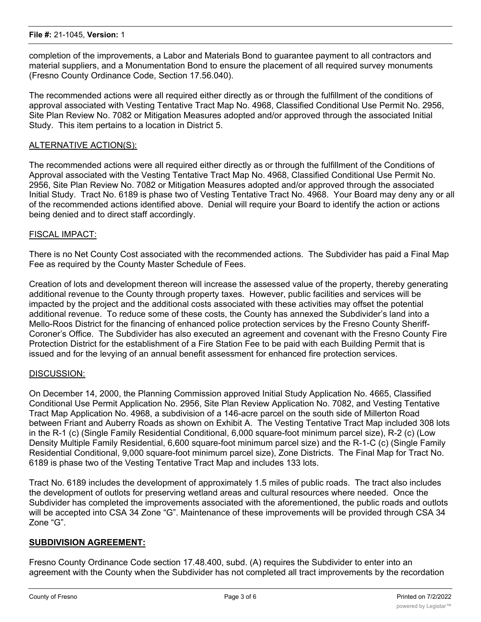completion of the improvements, a Labor and Materials Bond to guarantee payment to all contractors and material suppliers, and a Monumentation Bond to ensure the placement of all required survey monuments (Fresno County Ordinance Code, Section 17.56.040).

The recommended actions were all required either directly as or through the fulfillment of the conditions of approval associated with Vesting Tentative Tract Map No. 4968, Classified Conditional Use Permit No. 2956, Site Plan Review No. 7082 or Mitigation Measures adopted and/or approved through the associated Initial Study. This item pertains to a location in District 5.

#### ALTERNATIVE ACTION(S):

The recommended actions were all required either directly as or through the fulfillment of the Conditions of Approval associated with the Vesting Tentative Tract Map No. 4968, Classified Conditional Use Permit No. 2956, Site Plan Review No. 7082 or Mitigation Measures adopted and/or approved through the associated Initial Study. Tract No. 6189 is phase two of Vesting Tentative Tract No. 4968. Your Board may deny any or all of the recommended actions identified above. Denial will require your Board to identify the action or actions being denied and to direct staff accordingly.

#### FISCAL IMPACT:

There is no Net County Cost associated with the recommended actions. The Subdivider has paid a Final Map Fee as required by the County Master Schedule of Fees.

Creation of lots and development thereon will increase the assessed value of the property, thereby generating additional revenue to the County through property taxes. However, public facilities and services will be impacted by the project and the additional costs associated with these activities may offset the potential additional revenue. To reduce some of these costs, the County has annexed the Subdivider's land into a Mello-Roos District for the financing of enhanced police protection services by the Fresno County Sheriff-Coroner's Office. The Subdivider has also executed an agreement and covenant with the Fresno County Fire Protection District for the establishment of a Fire Station Fee to be paid with each Building Permit that is issued and for the levying of an annual benefit assessment for enhanced fire protection services.

#### DISCUSSION:

On December 14, 2000, the Planning Commission approved Initial Study Application No. 4665, Classified Conditional Use Permit Application No. 2956, Site Plan Review Application No. 7082, and Vesting Tentative Tract Map Application No. 4968, a subdivision of a 146-acre parcel on the south side of Millerton Road between Friant and Auberry Roads as shown on Exhibit A. The Vesting Tentative Tract Map included 308 lots in the R-1 (c) (Single Family Residential Conditional, 6,000 square-foot minimum parcel size), R-2 (c) (Low Density Multiple Family Residential, 6,600 square-foot minimum parcel size) and the R-1-C (c) (Single Family Residential Conditional, 9,000 square-foot minimum parcel size), Zone Districts. The Final Map for Tract No. 6189 is phase two of the Vesting Tentative Tract Map and includes 133 lots.

Tract No. 6189 includes the development of approximately 1.5 miles of public roads. The tract also includes the development of outlots for preserving wetland areas and cultural resources where needed. Once the Subdivider has completed the improvements associated with the aforementioned, the public roads and outlots will be accepted into CSA 34 Zone "G". Maintenance of these improvements will be provided through CSA 34 Zone "G".

#### **SUBDIVISION AGREEMENT:**

Fresno County Ordinance Code section 17.48.400, subd. (A) requires the Subdivider to enter into an agreement with the County when the Subdivider has not completed all tract improvements by the recordation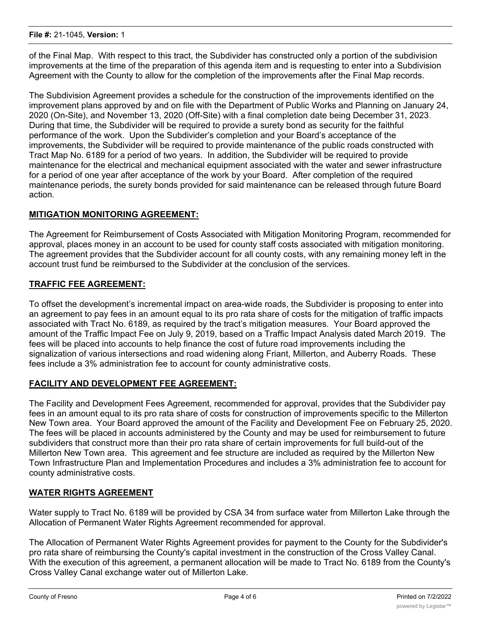of the Final Map. With respect to this tract, the Subdivider has constructed only a portion of the subdivision improvements at the time of the preparation of this agenda item and is requesting to enter into a Subdivision Agreement with the County to allow for the completion of the improvements after the Final Map records.

The Subdivision Agreement provides a schedule for the construction of the improvements identified on the improvement plans approved by and on file with the Department of Public Works and Planning on January 24, 2020 (On-Site), and November 13, 2020 (Off-Site) with a final completion date being December 31, 2023. During that time, the Subdivider will be required to provide a surety bond as security for the faithful performance of the work. Upon the Subdivider's completion and your Board's acceptance of the improvements, the Subdivider will be required to provide maintenance of the public roads constructed with Tract Map No. 6189 for a period of two years. In addition, the Subdivider will be required to provide maintenance for the electrical and mechanical equipment associated with the water and sewer infrastructure for a period of one year after acceptance of the work by your Board. After completion of the required maintenance periods, the surety bonds provided for said maintenance can be released through future Board action.

# **MITIGATION MONITORING AGREEMENT:**

The Agreement for Reimbursement of Costs Associated with Mitigation Monitoring Program, recommended for approval, places money in an account to be used for county staff costs associated with mitigation monitoring. The agreement provides that the Subdivider account for all county costs, with any remaining money left in the account trust fund be reimbursed to the Subdivider at the conclusion of the services.

# **TRAFFIC FEE AGREEMENT:**

To offset the development's incremental impact on area-wide roads, the Subdivider is proposing to enter into an agreement to pay fees in an amount equal to its pro rata share of costs for the mitigation of traffic impacts associated with Tract No. 6189, as required by the tract's mitigation measures. Your Board approved the amount of the Traffic Impact Fee on July 9, 2019, based on a Traffic Impact Analysis dated March 2019. The fees will be placed into accounts to help finance the cost of future road improvements including the signalization of various intersections and road widening along Friant, Millerton, and Auberry Roads. These fees include a 3% administration fee to account for county administrative costs.

# **FACILITY AND DEVELOPMENT FEE AGREEMENT:**

The Facility and Development Fees Agreement, recommended for approval, provides that the Subdivider pay fees in an amount equal to its pro rata share of costs for construction of improvements specific to the Millerton New Town area. Your Board approved the amount of the Facility and Development Fee on February 25, 2020. The fees will be placed in accounts administered by the County and may be used for reimbursement to future subdividers that construct more than their pro rata share of certain improvements for full build-out of the Millerton New Town area. This agreement and fee structure are included as required by the Millerton New Town Infrastructure Plan and Implementation Procedures and includes a 3% administration fee to account for county administrative costs.

#### **WATER RIGHTS AGREEMENT**

Water supply to Tract No. 6189 will be provided by CSA 34 from surface water from Millerton Lake through the Allocation of Permanent Water Rights Agreement recommended for approval.

The Allocation of Permanent Water Rights Agreement provides for payment to the County for the Subdivider's pro rata share of reimbursing the County's capital investment in the construction of the Cross Valley Canal. With the execution of this agreement, a permanent allocation will be made to Tract No. 6189 from the County's Cross Valley Canal exchange water out of Millerton Lake.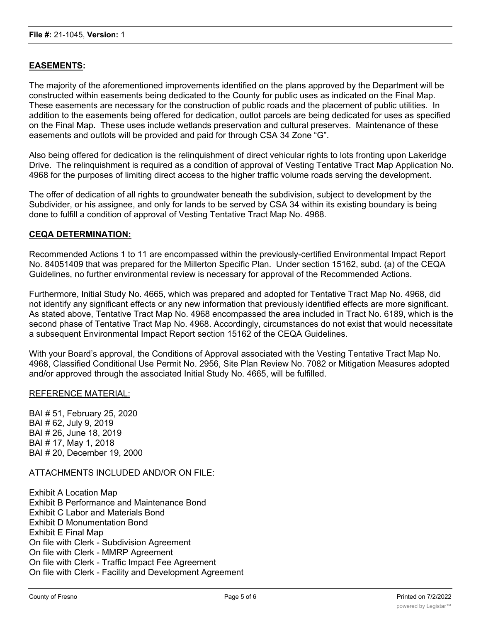# **EASEMENTS:**

The majority of the aforementioned improvements identified on the plans approved by the Department will be constructed within easements being dedicated to the County for public uses as indicated on the Final Map. These easements are necessary for the construction of public roads and the placement of public utilities. In addition to the easements being offered for dedication, outlot parcels are being dedicated for uses as specified on the Final Map. These uses include wetlands preservation and cultural preserves. Maintenance of these easements and outlots will be provided and paid for through CSA 34 Zone "G".

Also being offered for dedication is the relinquishment of direct vehicular rights to lots fronting upon Lakeridge Drive. The relinquishment is required as a condition of approval of Vesting Tentative Tract Map Application No. 4968 for the purposes of limiting direct access to the higher traffic volume roads serving the development.

The offer of dedication of all rights to groundwater beneath the subdivision, subject to development by the Subdivider, or his assignee, and only for lands to be served by CSA 34 within its existing boundary is being done to fulfill a condition of approval of Vesting Tentative Tract Map No. 4968.

#### **CEQA DETERMINATION:**

Recommended Actions 1 to 11 are encompassed within the previously-certified Environmental Impact Report No. 84051409 that was prepared for the Millerton Specific Plan. Under section 15162, subd. (a) of the CEQA Guidelines, no further environmental review is necessary for approval of the Recommended Actions.

Furthermore, Initial Study No. 4665, which was prepared and adopted for Tentative Tract Map No. 4968, did not identify any significant effects or any new information that previously identified effects are more significant. As stated above, Tentative Tract Map No. 4968 encompassed the area included in Tract No. 6189, which is the second phase of Tentative Tract Map No. 4968. Accordingly, circumstances do not exist that would necessitate a subsequent Environmental Impact Report section 15162 of the CEQA Guidelines.

With your Board's approval, the Conditions of Approval associated with the Vesting Tentative Tract Map No. 4968, Classified Conditional Use Permit No. 2956, Site Plan Review No. 7082 or Mitigation Measures adopted and/or approved through the associated Initial Study No. 4665, will be fulfilled.

#### REFERENCE MATERIAL:

BAI # 51, February 25, 2020 BAI # 62, July 9, 2019 BAI # 26, June 18, 2019 BAI # 17, May 1, 2018 BAI # 20, December 19, 2000

# ATTACHMENTS INCLUDED AND/OR ON FILE:

Exhibit A Location Map Exhibit B Performance and Maintenance Bond Exhibit C Labor and Materials Bond Exhibit D Monumentation Bond Exhibit E Final Map On file with Clerk - Subdivision Agreement On file with Clerk - MMRP Agreement On file with Clerk - Traffic Impact Fee Agreement On file with Clerk - Facility and Development Agreement